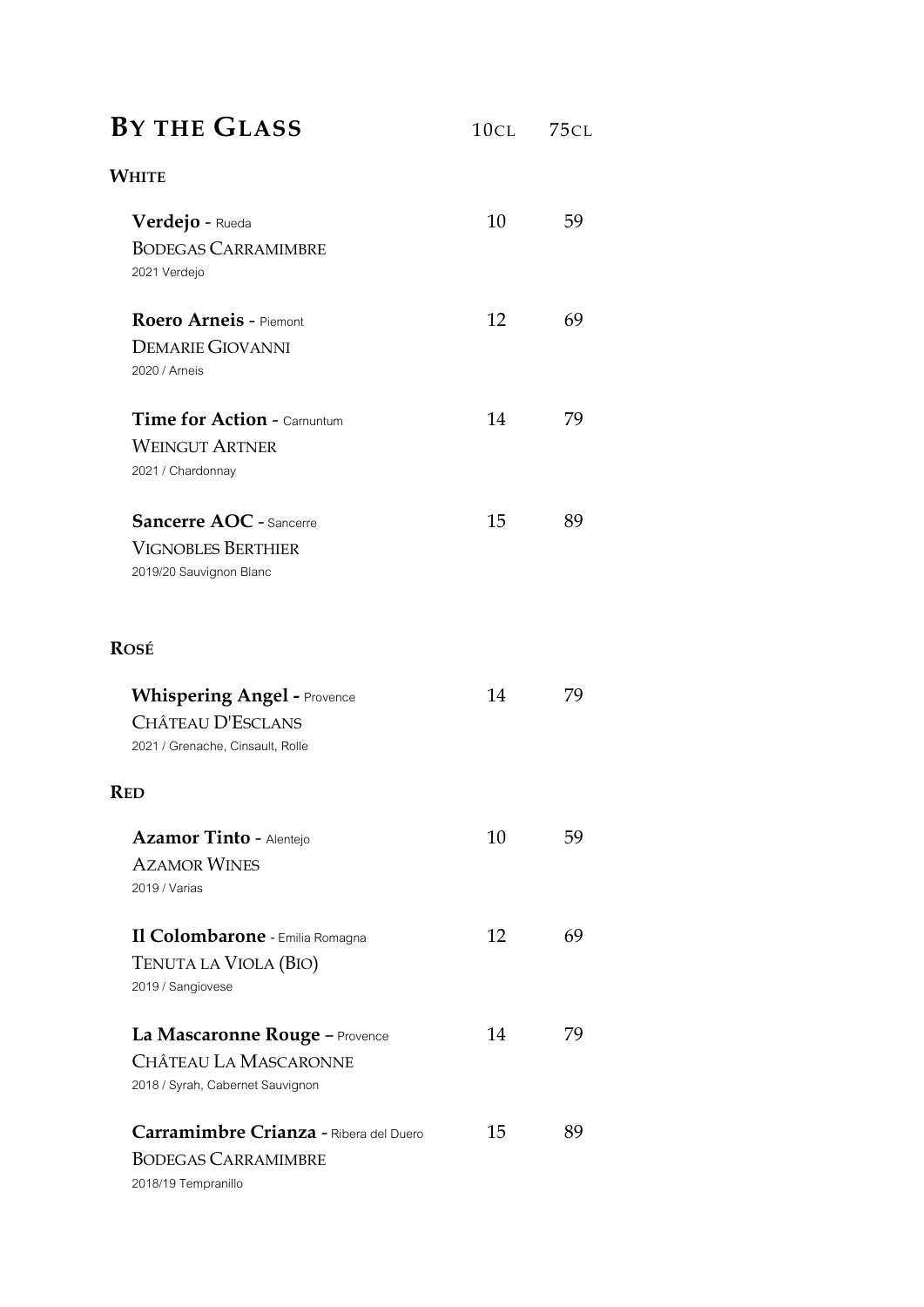### **BY THE GLASS** <sup>10</sup>CL <sup>75</sup>CL

# **WHITE Verdejo** - Rueda 10 59 BODEGAS CARRAMIMBRE 2021 Verdejo **Roero Arneis** - Piemont 12 69 DEMARIE GIOVANNI 2020 / Arneis **Time for Action - Carnuntum 14 79** WEINGUT ARTNER 2021/ Chardonnay **Sancerre AOC** - Sancerre 15 89 VIGNOBLES BERTHIER 2019/20 Sauvignon Blanc **ROSÉ Whispering Angel -** Provence 14 79 C[HÂTEAU](https://www.schubiweine.ch/chateau-d-esclans-p4194.html?product=25610) D'ESCLANS 2021/ Grenache, Cinsault, Rolle **RED Azamor Tinto - Alentejo** 10 59 AZAMOR WINES 2019/ Varias **Il Colombarone** *-* Emilia Romagna 12 69

TENUTA LA VIOLA (BIO) 2019 / Sangiovese **La Mascaronne Rouge** – Provence 14 79 CHÂTEAU LA MASCARONNE 2018/ Syrah, Cabernet Sauvignon **Carramimbre Crianza** - Ribera del Duero 15 89 BODEGAS CARRAMIMBRE 2018/19 Tempranillo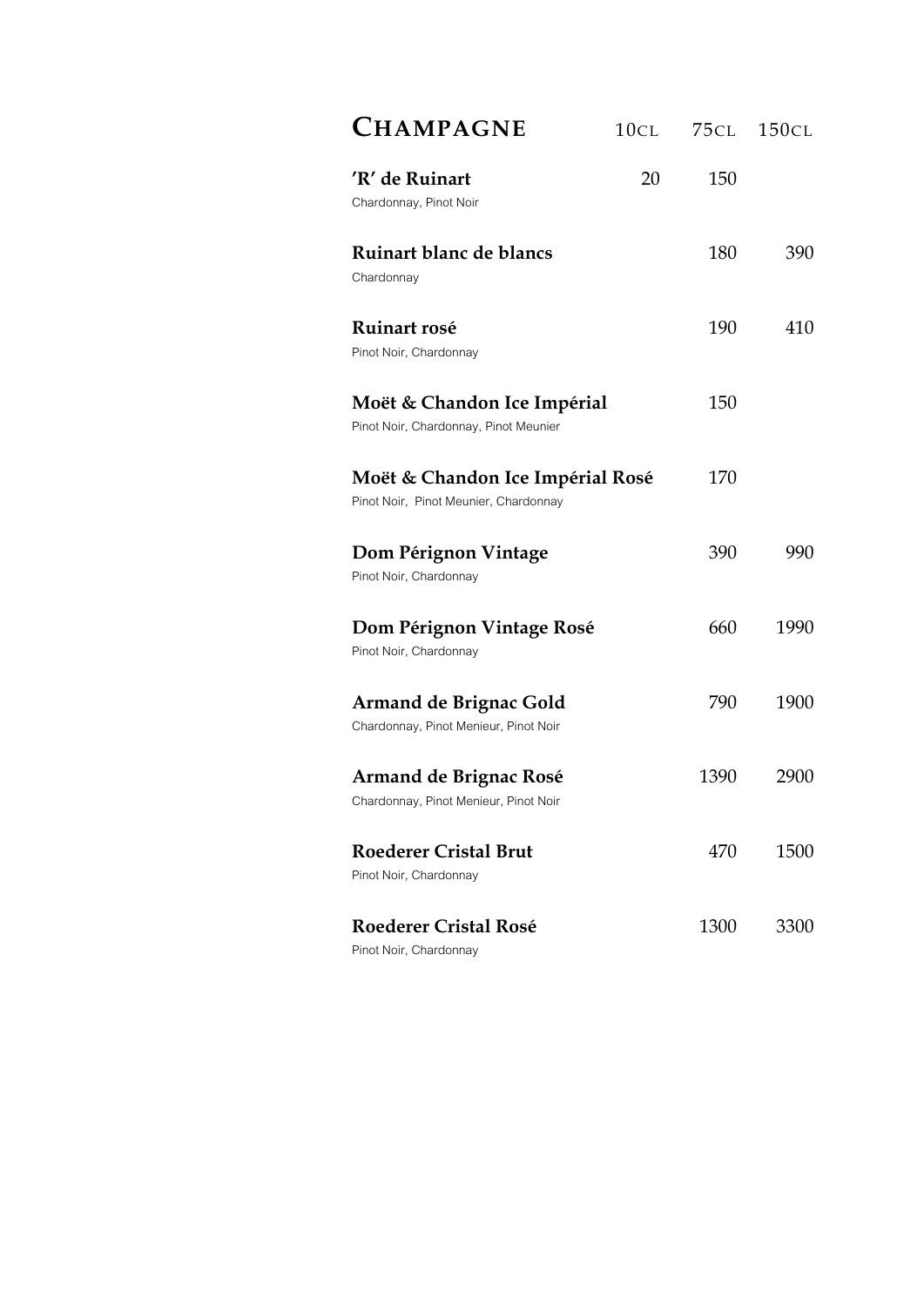| <b>CHAMPAGNE</b>                                                          | 10CL | 75cl | <b>150CL</b> |
|---------------------------------------------------------------------------|------|------|--------------|
| 'R' de Ruinart<br>Chardonnay, Pinot Noir                                  | 20   | 150  |              |
| Ruinart blanc de blancs<br>Chardonnay                                     |      | 180  | 390          |
| Ruinart rosé<br>Pinot Noir, Chardonnay                                    |      | 190  | 410          |
| Moët & Chandon Ice Impérial<br>Pinot Noir, Chardonnay, Pinot Meunier      |      | 150  |              |
| Moët & Chandon Ice Impérial Rosé<br>Pinot Noir, Pinot Meunier, Chardonnay |      | 170  |              |
| Dom Pérignon Vintage<br>Pinot Noir, Chardonnay                            |      | 390  | 990          |
| Dom Pérignon Vintage Rosé<br>Pinot Noir, Chardonnay                       |      | 660  | 1990         |
| <b>Armand de Brignac Gold</b><br>Chardonnay, Pinot Menieur, Pinot Noir    |      | 790  | 1900         |
| <b>Armand de Brignac Rosé</b><br>Chardonnay, Pinot Menieur, Pinot Noir    |      | 1390 | 2900         |
| <b>Roederer Cristal Brut</b><br>Pinot Noir, Chardonnay                    |      | 470  | 1500         |
| <b>Roederer Cristal Rosé</b><br>Pinot Noir, Chardonnay                    |      | 1300 | 3300         |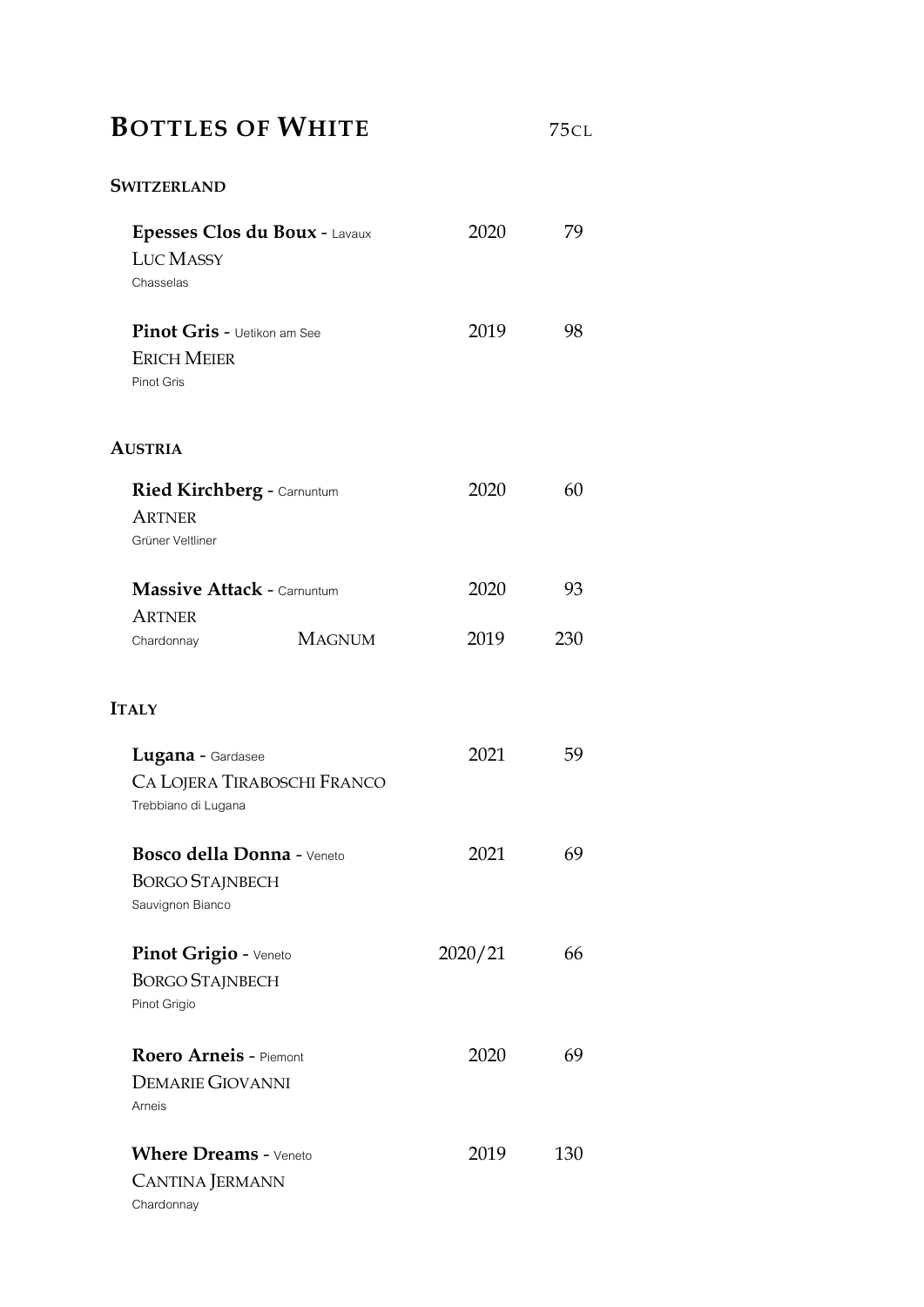# **BOTTLES OF WHITE** 75CL

### **SWITZERLAND**

| Epesses Clos du Boux - Lavaux      | 2020    | 79  |
|------------------------------------|---------|-----|
| <b>LUC MASSY</b>                   |         |     |
| Chasselas                          |         |     |
| <b>Pinot Gris - Uetikon am See</b> | 2019    | 98  |
| <b>ERICH MEIER</b>                 |         |     |
| Pinot Gris                         |         |     |
| <b>AUSTRIA</b>                     |         |     |
| <b>Ried Kirchberg - Carnuntum</b>  | 2020    | 60  |
| <b>ARTNER</b>                      |         |     |
| Grüner Veltliner                   |         |     |
| <b>Massive Attack - Carnuntum</b>  | 2020    | 93  |
| <b>ARTNER</b>                      |         |     |
| <b>MAGNUM</b><br>Chardonnay        | 2019    | 230 |
| <b>ITALY</b>                       |         |     |
| Lugana - Gardasee                  | 2021    | 59  |
| CA LOJERA TIRABOSCHI FRANCO        |         |     |
| Trebbiano di Lugana                |         |     |
| Bosco della Donna - Veneto         | 2021    | 69  |
| <b>BORGO STAJNBECH</b>             |         |     |
| Sauvignon Bianco                   |         |     |
| Pinot Grigio - Veneto              | 2020/21 | 66  |
| <b>BORGO STAJNBECH</b>             |         |     |
| Pinot Grigio                       |         |     |
| <b>Roero Arneis - Piemont</b>      | 2020    | 69  |
| <b>DEMARIE GIOVANNI</b>            |         |     |
| Arneis                             |         |     |
| <b>Where Dreams - Veneto</b>       | 2019    | 130 |
| <b>CANTINA JERMANN</b>             |         |     |
| Chardonnay                         |         |     |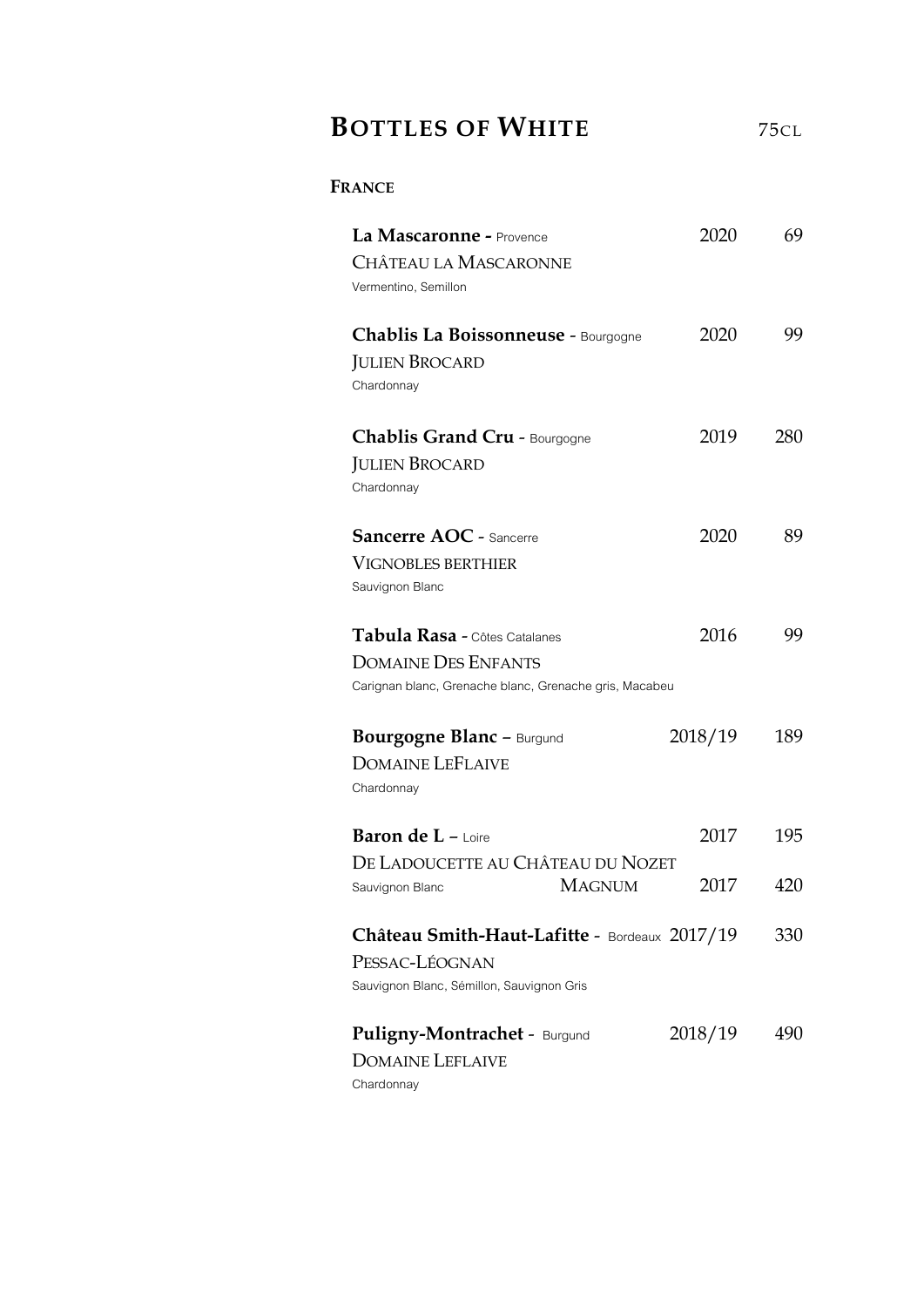## **BOTTLES OF WHITE** <sup>75</sup>CL

### **FRANCE**

| La Mascaronne - Provence<br>CHÂTEAU LA MASCARONNE<br>Vermentino, Semillon                                             | 2020         | 69         |
|-----------------------------------------------------------------------------------------------------------------------|--------------|------------|
| Chablis La Boissonneuse - Bourgogne<br><b>JULIEN BROCARD</b><br>Chardonnay                                            | 2020         | 99         |
| <b>Chablis Grand Cru - Bourgogne</b><br><b>JULIEN BROCARD</b><br>Chardonnay                                           | 2019         | 280        |
| <b>Sancerre AOC - Sancerre</b><br><b>VIGNOBLES BERTHIER</b><br>Sauvignon Blanc                                        | 2020         | 89         |
| Tabula Rasa - Côtes Catalanes<br><b>DOMAINE DES ENFANTS</b><br>Carignan blanc, Grenache blanc, Grenache gris, Macabeu | 2016         | 99         |
| <b>Bourgogne Blanc - Burgund</b><br><b>DOMAINE LEFLAIVE</b><br>Chardonnay                                             | 2018/19      | 189        |
| <b>Baron de L</b> $-$ Loire<br>DE LADOUCETTE AU CHÂTEAU DU NOZET<br><b>MAGNUM</b><br>Sauvignon Blanc                  | 2017<br>2017 | 195<br>420 |
| Château Smith-Haut-Lafitte - Bordeaux 2017/19<br>PESSAC-LÉOGNAN<br>Sauvignon Blanc, Sémillon, Sauvignon Gris          |              | 330        |
| <b>Puligny-Montrachet - Burgund</b><br><b>DOMAINE LEFLAIVE</b><br>Chardonnay                                          | 2018/19      | 490        |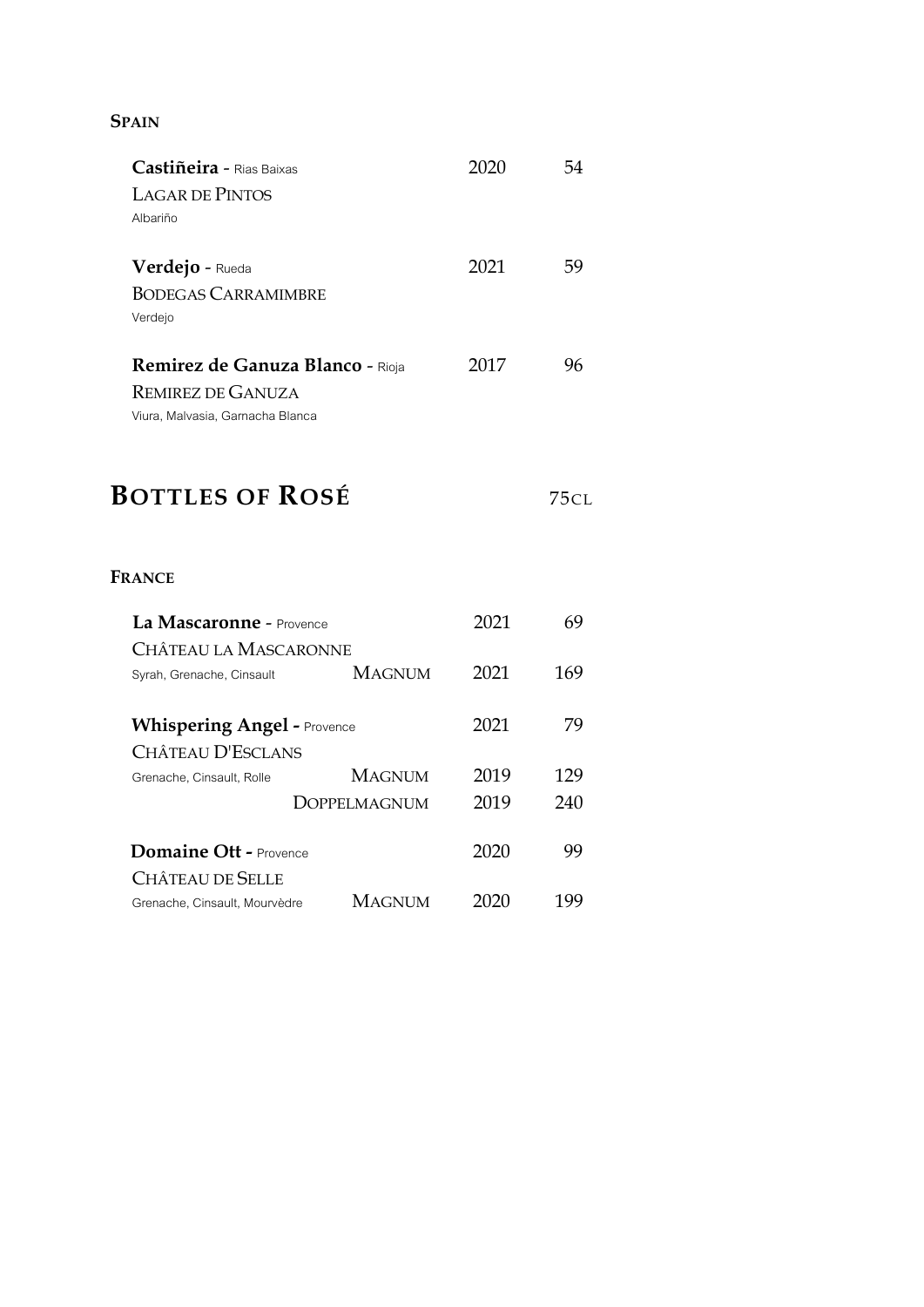#### **SPAIN**

| Castiñeira - Rias Baixas                | 2020 | 54 |
|-----------------------------------------|------|----|
| LAGAR DE PINTOS                         |      |    |
| Albariño                                |      |    |
| Verdejo - Rueda                         | 2021 | 59 |
| <b>BODEGAS CARRAMIMBRE</b>              |      |    |
| Verdejo                                 |      |    |
|                                         |      |    |
| <b>Remirez de Ganuza Blanco - Rioja</b> | 2017 | 96 |
| <b>REMIREZ DE GANUZA</b>                |      |    |
| Viura, Malvasia, Garnacha Blanca        |      |    |

# **BOTTLES OF ROSÉ** <sup>75</sup>CL

### **FRANCE**

| La Mascaronne - Provence           |               |      | 69  |
|------------------------------------|---------------|------|-----|
| Château la Mascaronne              |               |      |     |
| Syrah, Grenache, Cinsault          | <b>MAGNUM</b> | 2021 | 169 |
|                                    |               |      |     |
| <b>Whispering Angel - Provence</b> |               | 2021 | 79  |
| CHÂTEAU D'ESCLANS                  |               |      |     |
| Grenache, Cinsault, Rolle          | <b>MAGNUM</b> | 2019 | 129 |
|                                    | DOPPELMAGNUM  | 2019 | 240 |
|                                    |               |      |     |
| Domaine Ott - Provence             |               | 2020 | 99  |
| CHÂTEAU DE SELLE                   |               |      |     |
| Grenache, Cinsault, Mourvèdre      | <b>MAGNUM</b> |      | 199 |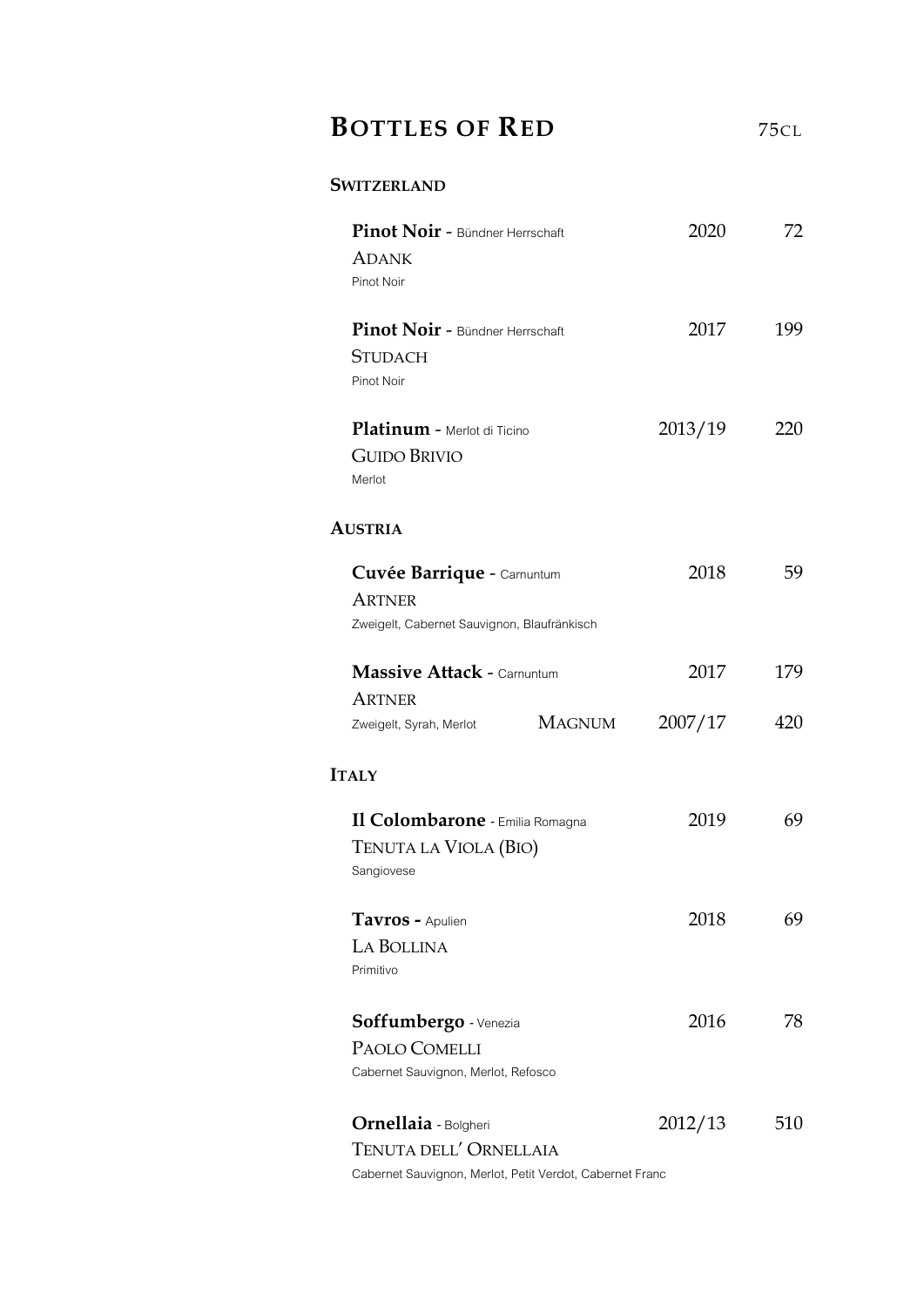### **BOTTLES OF RED** 75CL

#### **SWITZERLAND**

| Pinot Noir - Bündner Herrschaft<br><b>ADANK</b><br>Pinot Noir                              |               | 2020    | 72  |
|--------------------------------------------------------------------------------------------|---------------|---------|-----|
| Pinot Noir - Bündner Herrschaft<br><b>STUDACH</b><br>Pinot Noir                            |               | 2017    | 199 |
| Platinum - Merlot di Ticino<br><b>GUIDO BRIVIO</b><br>Merlot                               |               | 2013/19 | 220 |
| <b>AUSTRIA</b>                                                                             |               |         |     |
| Cuvée Barrique - Carnuntum<br><b>ARTNER</b><br>Zweigelt, Cabernet Sauvignon, Blaufränkisch |               | 2018    | 59  |
| <b>Massive Attack - Carnuntum</b>                                                          |               | 2017    | 179 |
| <b>ARTNER</b><br>Zweigelt, Syrah, Merlot                                                   | <b>MAGNUM</b> | 2007/17 | 420 |
| <b>ITALY</b>                                                                               |               |         |     |
| Il Colombarone - Emilia Romagna<br>TENUTA LA VIOLA (BIO)<br>Sangiovese                     |               | 2019    | 69  |
| Tavros - Apulien<br>LA BOLLINA<br>Primitivo                                                |               | 2018    | 69  |
| Soffumbergo - Venezia<br>PAOLO COMELLI<br>Cabernet Sauvignon, Merlot, Refosco              |               | 2016    | 78  |
| <b>Ornellaia</b> - Bolgheri<br>TENUTA DELL' ORNELLAIA                                      |               | 2012/13 | 510 |

Cabernet Sauvignon, Merlot, Petit Verdot, Cabernet Franc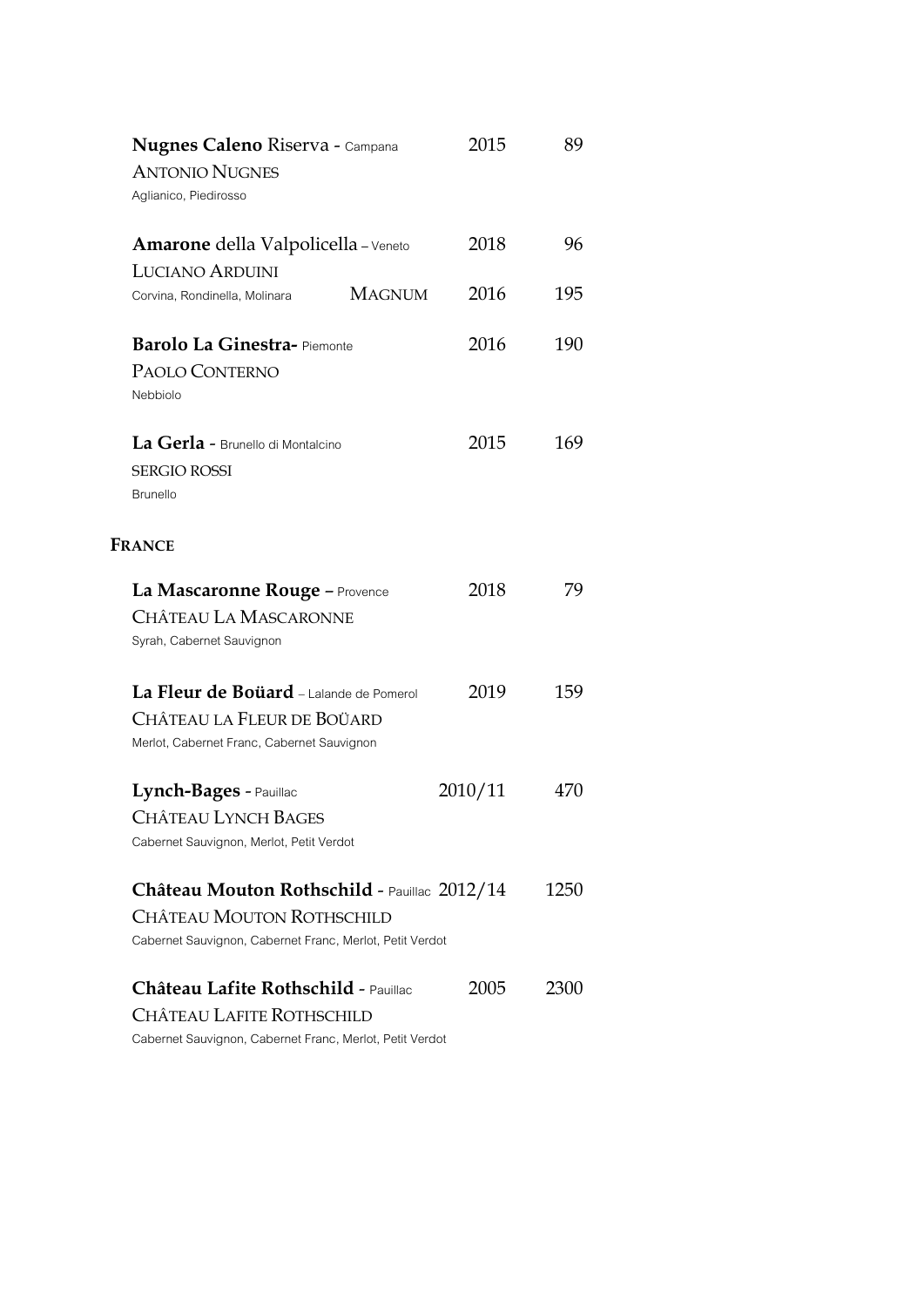| <b>Nugnes Caleno Riserva - Campana</b>                   | 2015    | 89   |
|----------------------------------------------------------|---------|------|
| <b>ANTONIO NUGNES</b>                                    |         |      |
| Aglianico, Piedirosso                                    |         |      |
| Amarone della Valpolicella - Veneto                      | 2018    | 96   |
| <b>LUCIANO ARDUINI</b>                                   |         |      |
| <b>MAGNUM</b><br>Corvina, Rondinella, Molinara           | 2016    | 195  |
| <b>Barolo La Ginestra-Piemonte</b>                       | 2016    | 190  |
| PAOLO CONTERNO                                           |         |      |
| Nebbiolo                                                 |         |      |
| La Gerla - Brunello di Montalcino                        | 2015    | 169  |
| <b>SERGIO ROSSI</b>                                      |         |      |
| <b>Brunello</b>                                          |         |      |
|                                                          |         |      |
| <b>FRANCE</b>                                            |         |      |
| La Mascaronne Rouge - Provence                           | 2018    | 79   |
| CHÂTEAU LA MASCARONNE                                    |         |      |
| Syrah, Cabernet Sauvignon                                |         |      |
| La Fleur de Boüard - Lalande de Pomerol                  | 2019    | 159  |
| Château la Fleur de Boüard                               |         |      |
| Merlot, Cabernet Franc, Cabernet Sauvignon               |         |      |
| Lynch-Bages - Pauillac                                   | 2010/11 | 470  |
| <b>CHÂTEAU LYNCH BAGES</b>                               |         |      |
| Cabernet Sauvignon, Merlot, Petit Verdot                 |         |      |
|                                                          |         |      |
| Château Mouton Rothschild - Pauillac 2012/14             |         | 1250 |
| <b>CHÂTEAU MOUTON ROTHSCHILD</b>                         |         |      |
| Cabernet Sauvignon, Cabernet Franc, Merlot, Petit Verdot |         |      |
| Château Lafite Rothschild - Pauillac                     | 2005    | 2300 |
| CHÂTEAU LAFITE ROTHSCHILD                                |         |      |
| Cabernet Sauvignon, Cabernet Franc, Merlot, Petit Verdot |         |      |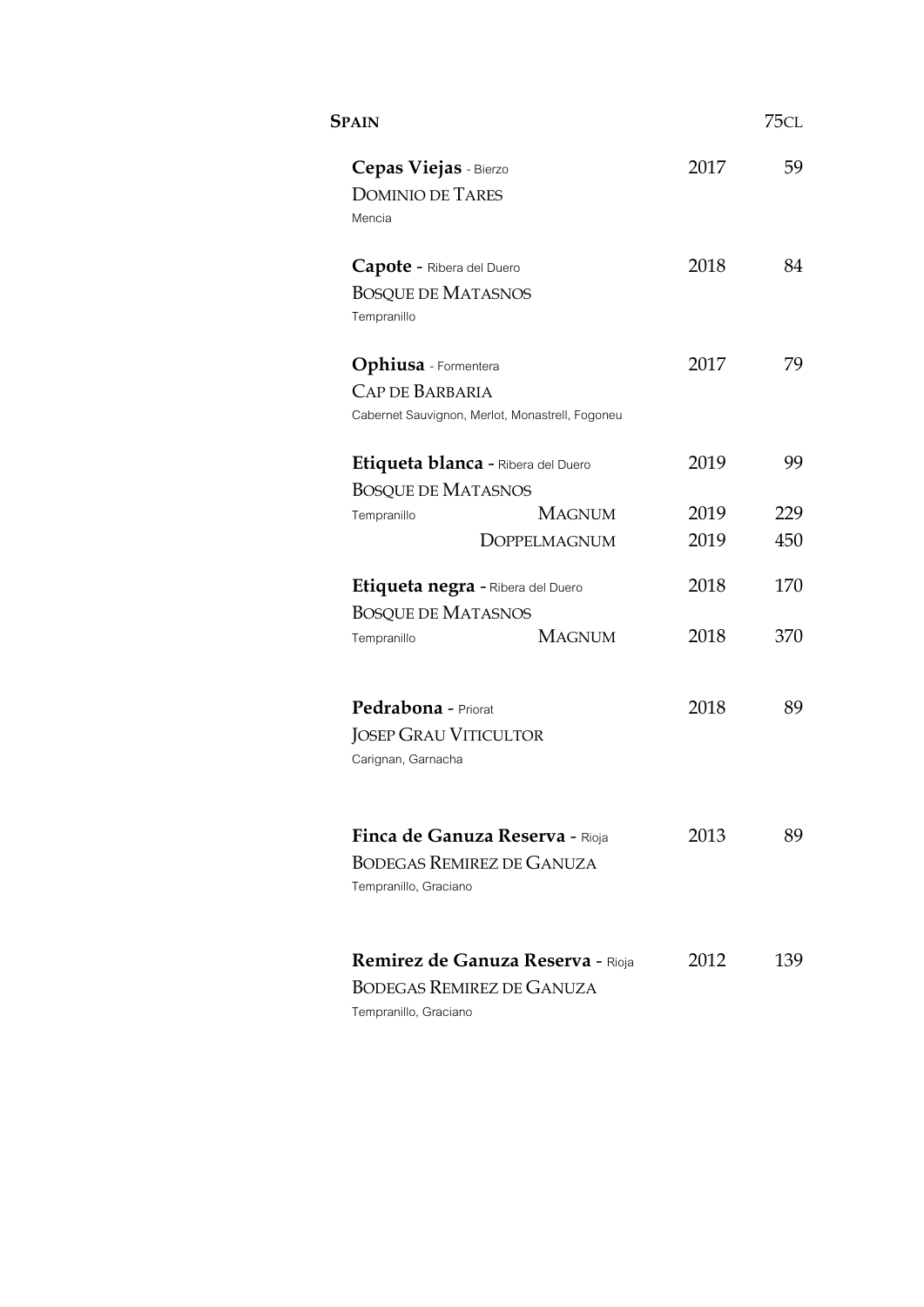| <b>SPAIN</b>                |                                                 |      | 75cl |
|-----------------------------|-------------------------------------------------|------|------|
| Cepas Viejas - Bierzo       |                                                 | 2017 | 59   |
| <b>DOMINIO DE TARES</b>     |                                                 |      |      |
| Mencia                      |                                                 |      |      |
| Capote - Ribera del Duero   |                                                 | 2018 | 84   |
| <b>BOSQUE DE MATASNOS</b>   |                                                 |      |      |
| Tempranillo                 |                                                 |      |      |
| <b>Ophiusa</b> - Formentera |                                                 | 2017 | 79   |
| <b>CAP DE BARBARIA</b>      |                                                 |      |      |
|                             | Cabernet Sauvignon, Merlot, Monastrell, Fogoneu |      |      |
|                             | Etiqueta blanca - Ribera del Duero              | 2019 | 99   |
| <b>BOSQUE DE MATASNOS</b>   |                                                 |      |      |
| Tempranillo                 | <b>MAGNUM</b>                                   | 2019 | 229  |
|                             | <b>DOPPELMAGNUM</b>                             | 2019 | 450  |
|                             | Etiqueta negra - Ribera del Duero               | 2018 | 170  |
| <b>BOSQUE DE MATASNOS</b>   |                                                 |      |      |
| Tempranillo                 | <b>MAGNUM</b>                                   | 2018 | 370  |
|                             |                                                 |      |      |
| Pedrabona - Priorat         |                                                 | 2018 | 89   |
|                             | <b>JOSEP GRAU VITICULTOR</b>                    |      |      |
| Carignan, Garnacha          |                                                 |      |      |
|                             |                                                 |      |      |
|                             | Finca de Ganuza Reserva - Rioja                 | 2013 | 89   |
|                             | BODEGAS REMIREZ DE GANUZA                       |      |      |
| Tempranillo, Graciano       |                                                 |      |      |
|                             | Remirez de Ganuza Reserva - Rioja               | 2012 | 139  |
|                             | BODEGAS REMIREZ DE GANUZA                       |      |      |
| Tempranillo, Graciano       |                                                 |      |      |
|                             |                                                 |      |      |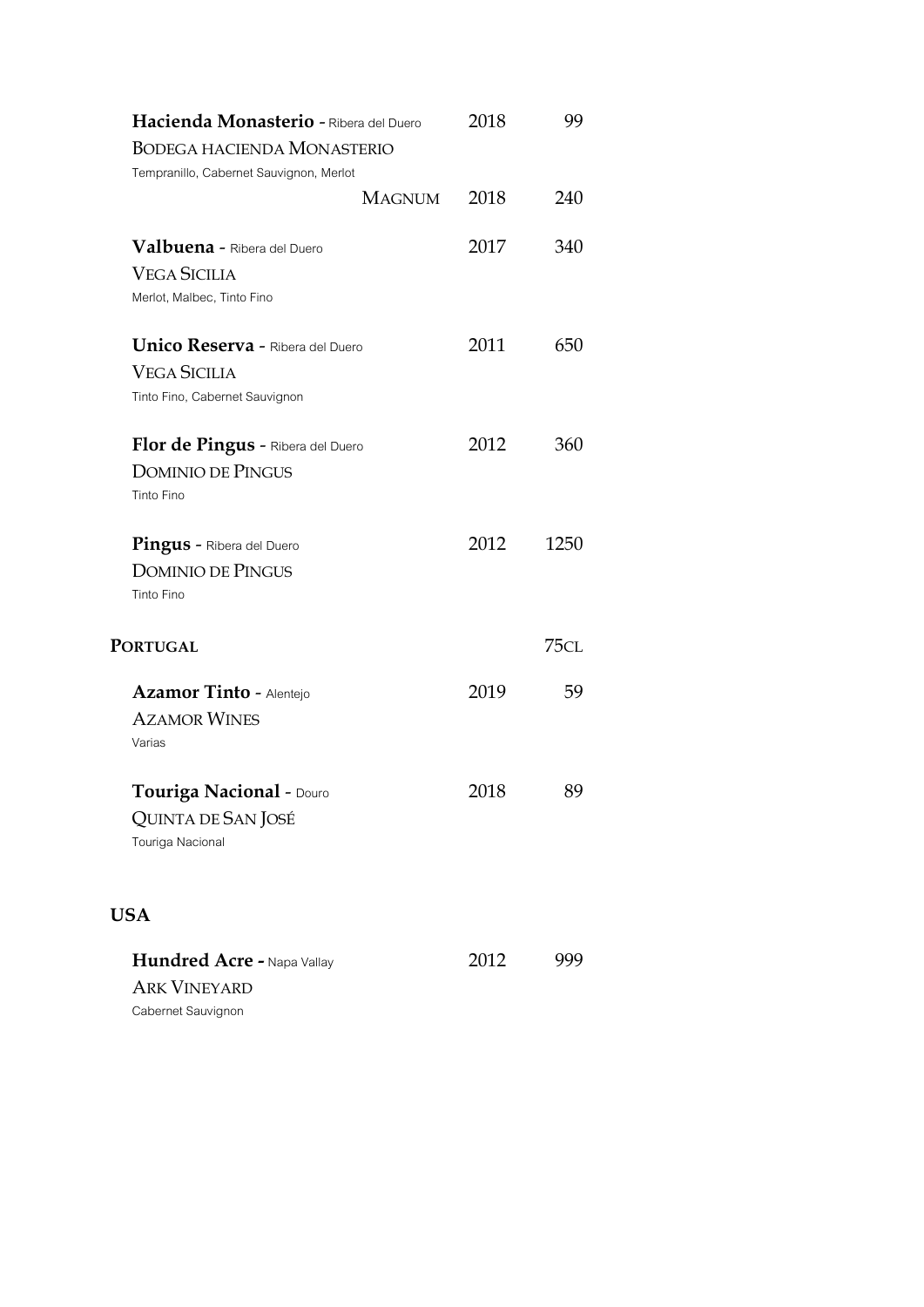| Hacienda Monasterio - Ribera del Duero<br>BODEGA HACIENDA MONASTERIO<br>Tempranillo, Cabernet Sauvignon, Merlot | 2018 | 99   |
|-----------------------------------------------------------------------------------------------------------------|------|------|
| <b>MAGNUM</b>                                                                                                   | 2018 | 240  |
| Valbuena - Ribera del Duero<br><b>VEGA SICILIA</b><br>Merlot, Malbec, Tinto Fino                                | 2017 | 340  |
| <b>Unico Reserva - Ribera del Duero</b><br><b>VEGA SICILIA</b><br>Tinto Fino, Cabernet Sauvignon                | 2011 | 650  |
| Flor de Pingus - Ribera del Duero<br><b>DOMINIO DE PINGUS</b><br>Tinto Fino                                     | 2012 | 360  |
| <b>Pingus - Ribera del Duero</b><br><b>DOMINIO DE PINGUS</b><br>Tinto Fino                                      | 2012 | 1250 |
| <b>PORTUGAL</b>                                                                                                 |      | 75CL |
| Azamor Tinto - Alentejo<br><b>AZAMOR WINES</b><br>Varias                                                        | 2019 | 59   |
| Touriga Nacional - Douro<br>QUINTA DE SAN JOSÉ<br>Touriga Nacional                                              | 2018 | 89   |
| <b>USA</b>                                                                                                      |      |      |
| Hundred Acre - Napa Vallay<br><b>ARK VINEYARD</b><br>Cabernet Sauvignon                                         | 2012 | 999  |